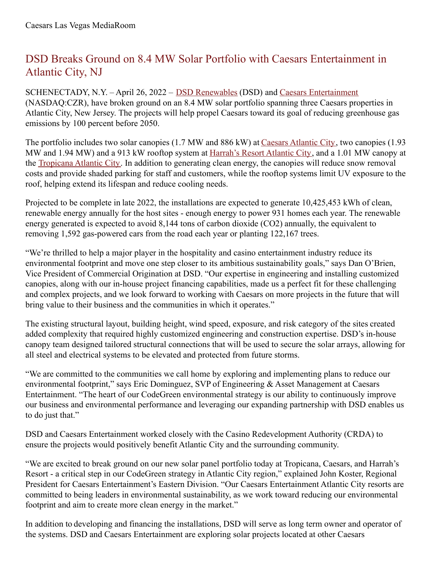## DSD Breaks Ground on 8.4 MW Solar Portfolio with Caesars Entertainment in Atlantic City, NJ

SCHENECTADY, N.Y. – April 26, 2022 – DSD [Renewables](https://dsdrenewables.com/) (DSD) and Caesars [Entertainment](https://www.caesars.com/) (NASDAQ:CZR), have broken ground on an 8.4 MW solar portfolio spanning three Caesars properties in Atlantic City, New Jersey. The projects will help propel Caesars toward its goal of reducing greenhouse gas emissions by 100 percent before 2050.

The portfolio includes two solar canopies (1.7 MW and 886 kW) at Caesars [Atlantic](https://www.caesars.com/caesars-ac) City, two canopies (1.93 MW and 1.94 MW) and a 913 kW rooftop system at [Harrah's](https://www.caesars.com/harrahs-ac) Resort Atlantic City, and a 1.01 MW canopy at the [Tropicana](https://www.caesars.com/tropicana-ac) Atlantic City. In addition to generating clean energy, the canopies will reduce snow removal costs and provide shaded parking for staff and customers, while the rooftop systems limit UV exposure to the roof, helping extend its lifespan and reduce cooling needs.

Projected to be complete in late 2022, the installations are expected to generate 10,425,453 kWh of clean, renewable energy annually for the host sites - enough energy to power 931 homes each year. The renewable energy generated is expected to avoid 8,144 tons of carbon dioxide (CO2) annually, the equivalent to removing 1,592 gas-powered cars from the road each year or planting 122,167 trees.

"We're thrilled to help a major player in the hospitality and casino entertainment industry reduce its environmental footprint and move one step closer to its ambitious sustainability goals," says Dan O'Brien, Vice President of Commercial Origination at DSD. "Our expertise in engineering and installing customized canopies, along with our in-house project financing capabilities, made us a perfect fit for these challenging and complex projects, and we look forward to working with Caesars on more projects in the future that will bring value to their business and the communities in which it operates."

The existing structural layout, building height, wind speed, exposure, and risk category of the sites created added complexity that required highly customized engineering and construction expertise. DSD's in-house canopy team designed tailored structural connections that will be used to secure the solar arrays, allowing for all steel and electrical systems to be elevated and protected from future storms.

"We are committed to the communities we call home by exploring and implementing plans to reduce our environmental footprint," says Eric Dominguez, SVP of Engineering & Asset Management at Caesars Entertainment. "The heart of our CodeGreen environmental strategy is our ability to continuously improve our business and environmental performance and leveraging our expanding partnership with DSD enables us to do just that."

DSD and Caesars Entertainment worked closely with the Casino Redevelopment Authority (CRDA) to ensure the projects would positively benefit Atlantic City and the surrounding community.

"We are excited to break ground on our new solar panel portfolio today at Tropicana, Caesars, and Harrah's Resort - a critical step in our CodeGreen strategy in Atlantic City region," explained John Koster, Regional President for Caesars Entertainment's Eastern Division. "Our Caesars Entertainment Atlantic City resorts are committed to being leaders in environmental sustainability, as we work toward reducing our environmental footprint and aim to create more clean energy in the market."

In addition to developing and financing the installations, DSD will serve as long term owner and operator of the systems. DSD and Caesars Entertainment are exploring solar projects located at other Caesars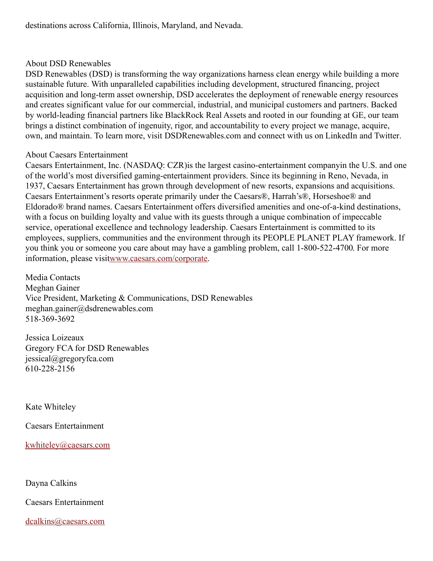destinations across California, Illinois, Maryland, and Nevada.

## About DSD Renewables

DSD Renewables (DSD) is transforming the way organizations harness clean energy while building a more sustainable future. With unparalleled capabilities including development, structured financing, project acquisition and long-term asset ownership, DSD accelerates the deployment of renewable energy resources and creates significant value for our commercial, industrial, and municipal customers and partners. Backed by world-leading financial partners like BlackRock Real Assets and rooted in our founding at GE, our team brings a distinct combination of ingenuity, rigor, and accountability to every project we manage, acquire, own, and maintain. To learn more, visit DSDRenewables.com and connect with us on LinkedIn and Twitter.

## About Caesars Entertainment

Caesars Entertainment, Inc. (NASDAQ: CZR)is the largest casino-entertainment companyin the U.S. and one of the world's most diversified gaming-entertainment providers. Since its beginning in Reno, Nevada, in 1937, Caesars Entertainment has grown through development of new resorts, expansions and acquisitions. Caesars Entertainment's resorts operate primarily under the Caesars®, Harrah's®, Horseshoe® and Eldorado® brand names. Caesars Entertainment offers diversified amenities and one-of-a-kind destinations, with a focus on building loyalty and value with its guests through a unique combination of impeccable service, operational excellence and technology leadership. Caesars Entertainment is committed to its employees, suppliers, communities and the environment through its PEOPLE PLANET PLAY framework. If you think you or someone you care about may have a gambling problem, call 1-800-522-4700. For more information, please visi[twww.caesars.com/corporate](http://www.caesars.com/corporate).

Media Contacts Meghan Gainer Vice President, Marketing & Communications, DSD Renewables meghan.gainer@dsdrenewables.com 518-369-3692

Jessica Loizeaux Gregory FCA for DSD Renewables jessical@gregoryfca.com 610-228-2156

Kate Whiteley

Caesars Entertainment

[kwhiteley@caesars.com](mailto:kwhiteley@caesars.com)

Dayna Calkins

Caesars Entertainment

[dcalkins@caesars.com](mailto:dcalkins@caesars.com)